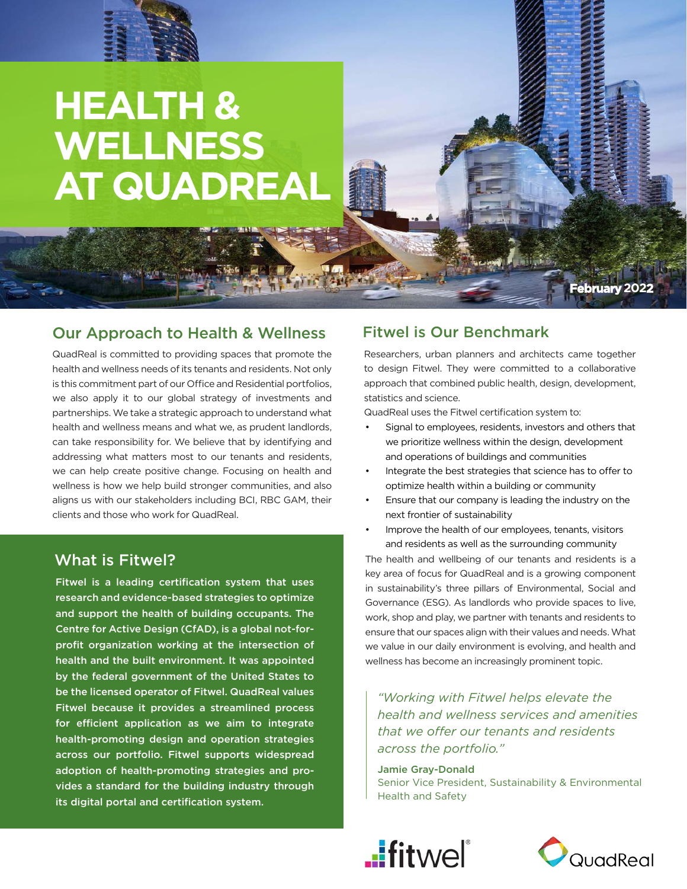

# **HEALTH & WELLNESS AT QUADREAL**

#### Our Approach to Health & Wellness

QuadReal is committed to providing spaces that promote the health and wellness needs of its tenants and residents. Not only is this commitment part of our Office and Residential portfolios, we also apply it to our global strategy of investments and partnerships. We take a strategic approach to understand what health and wellness means and what we, as prudent landlords, can take responsibility for. We believe that by identifying and addressing what matters most to our tenants and residents, we can help create positive change. Focusing on health and wellness is how we help build stronger communities, and also aligns us with our stakeholders including BCI, RBC GAM, their clients and those who work for QuadReal.

#### What is Fitwel?

Fitwel is a leading certification system that uses research and evidence-based strategies to optimize and support the health of building occupants. The Centre for Active Design (CfAD), is a global not-forprofit organization working at the intersection of health and the built environment. It was appointed by the federal government of the United States to be the licensed operator of Fitwel. QuadReal values Fitwel because it provides a streamlined process for efficient application as we aim to integrate health-promoting design and operation strategies across our portfolio. Fitwel supports widespread adoption of health-promoting strategies and provides a standard for the building industry through its digital portal and certification system.

### Fitwel is Our Benchmark

Researchers, urban planners and architects came together to design Fitwel. They were committed to a collaborative approach that combined public health, design, development, statistics and science.

**February 2022**

QuadReal uses the Fitwel certification system to:

- Signal to employees, residents, investors and others that we prioritize wellness within the design, development and operations of buildings and communities •
- Integrate the best strategies that science has to offer to optimize health within a building or community •
- Ensure that our company is leading the industry on the next frontier of sustainability •
- Improve the health of our employees, tenants, visitors and residents as well as the surrounding community •

The health and wellbeing of our tenants and residents is a key area of focus for QuadReal and is a growing component in sustainability's three pillars of Environmental, Social and Governance (ESG). As landlords who provide spaces to live, work, shop and play, we partner with tenants and residents to ensure that our spaces align with their values and needs. What we value in our daily environment is evolving, and health and wellness has become an increasingly prominent topic.

*"Working with Fitwel helps elevate the health and wellness services and amenities that we offer our tenants and residents across the portfolio."*

#### Jamie Gray-Donald

Senior Vice President, Sustainability & Environmental Health and Safety